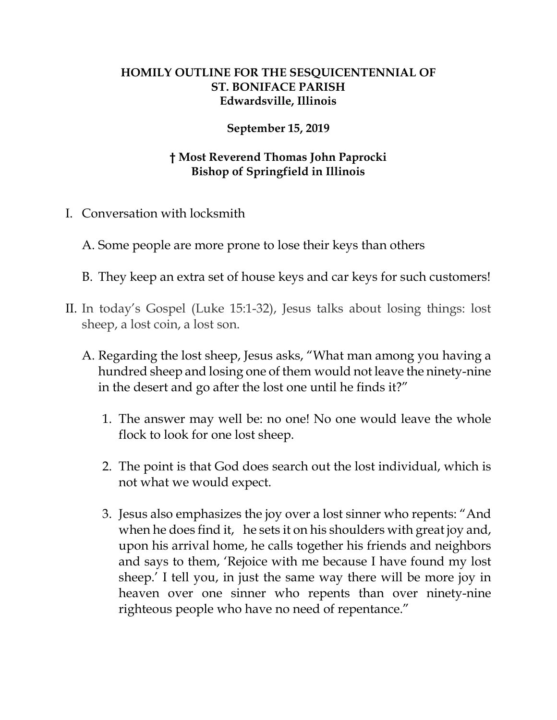## **HOMILY OUTLINE FOR THE SESQUICENTENNIAL OF ST. BONIFACE PARISH Edwardsville, Illinois**

## **September 15, 2019**

## **† Most Reverend Thomas John Paprocki Bishop of Springfield in Illinois**

I. Conversation with locksmith

A. Some people are more prone to lose their keys than others

- B. They keep an extra set of house keys and car keys for such customers!
- II. In today's Gospel (Luke 15:1-32), Jesus talks about losing things: lost sheep, a lost coin, a lost son.
	- A. Regarding the lost sheep, Jesus asks, "What man among you having a hundred sheep and losing one of them would not leave the ninety-nine in the desert and go after the lost one until he finds it?"
		- 1. The answer may well be: no one! No one would leave the whole flock to look for one lost sheep.
		- 2. The point is that God does search out the lost individual, which is not what we would expect.
		- 3. Jesus also emphasizes the joy over a lost sinner who repents: "And when he does find it, he sets it on his shoulders with great joy and, upon his arrival home, he calls together his friends and neighbors and says to them, 'Rejoice with me because I have found my lost sheep.' I tell you, in just the same way there will be more joy in heaven over one sinner who repents than over ninety-nine righteous people who have no need of repentance."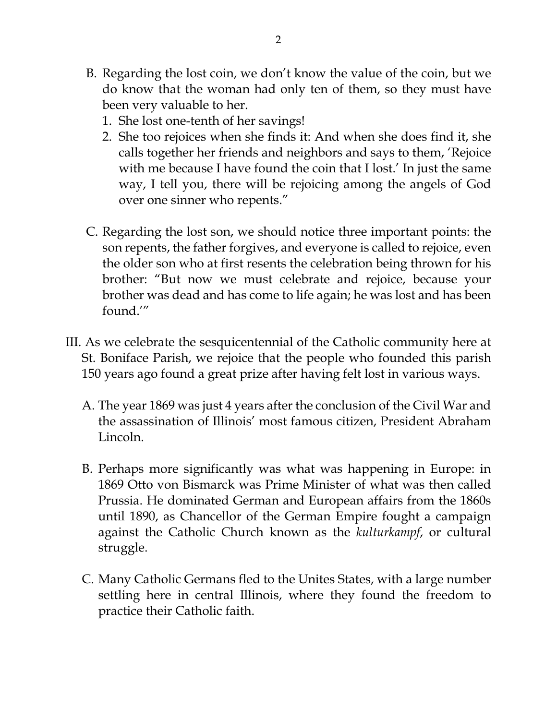- B. Regarding the lost coin, we don't know the value of the coin, but we do know that the woman had only ten of them, so they must have been very valuable to her.
	- 1. She lost one-tenth of her savings!
	- 2. She too rejoices when she finds it: And when she does find it, she calls together her friends and neighbors and says to them, 'Rejoice with me because I have found the coin that I lost.' In just the same way, I tell you, there will be rejoicing among the angels of God over one sinner who repents."
- C. Regarding the lost son, we should notice three important points: the son repents, the father forgives, and everyone is called to rejoice, even the older son who at first resents the celebration being thrown for his brother: "But now we must celebrate and rejoice, because your brother was dead and has come to life again; he was lost and has been found.'"
- III. As we celebrate the sesquicentennial of the Catholic community here at St. Boniface Parish, we rejoice that the people who founded this parish 150 years ago found a great prize after having felt lost in various ways.
	- A. The year 1869 was just 4 years after the conclusion of the Civil War and the assassination of Illinois' most famous citizen, President Abraham Lincoln.
	- B. Perhaps more significantly was what was happening in Europe: in 1869 Otto von Bismarck was Prime Minister of what was then called Prussia. He dominated German and European affairs from the 1860s until 1890, as Chancellor of the German Empire fought a campaign against the Catholic Church known as the *kulturkampf*, or cultural struggle.
	- C. Many Catholic Germans fled to the Unites States, with a large number settling here in central Illinois, where they found the freedom to practice their Catholic faith.